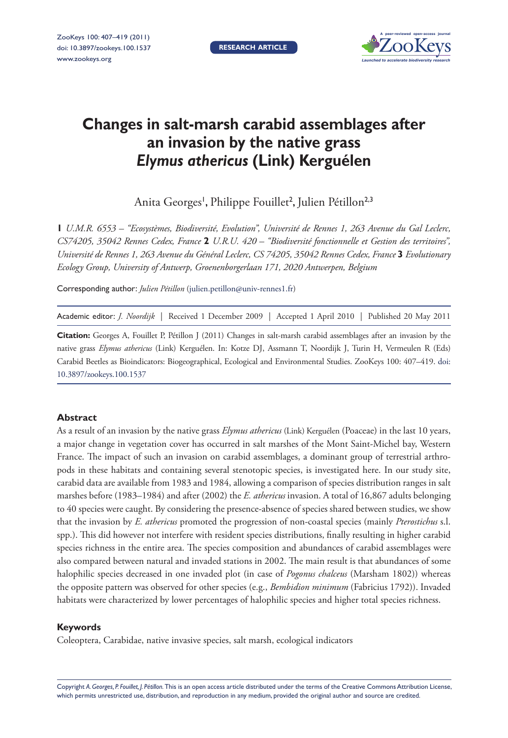**Research article**



# **Changes in salt-marsh carabid assemblages after an invasion by the native grass**  *Elymus athericus* **(Link) Kerguélen**

Anita Georges', Philippe Fouillet<sup>2</sup>, Julien Pétillon<sup>2,3</sup>

**1** *U.M.R. 6553 – ''Ecosystèmes, Biodiversité, Evolution'', Université de Rennes 1, 263 Avenue du Gal Leclerc, CS74205, 35042 Rennes Cedex, France* **2** *U.R.U. 420 – ''Biodiversité fonctionnelle et Gestion des territoires'', Université de Rennes 1, 263 Avenue du Général Leclerc, CS 74205, 35042 Rennes Cedex, France* **3** *Evolutionary Ecology Group, University of Antwerp, Groenenborgerlaan 171, 2020 Antwerpen, Belgium*

Corresponding author: *Julien Pétillon* [\(julien.petillon@univ-rennes1.fr](mailto:julien.petillon@univ-rennes1.fr))

Academic editor: *J. Noordijk* | Received 1 December 2009 | Accepted 1 April 2010 | Published 20 May 2011

**Citation:** Georges A, Fouillet P, Pétillon J (2011) Changes in salt-marsh carabid assemblages after an invasion by the native grass *Elymus athericus* (Link) Kerguélen. In: Kotze DJ, Assmann T, Noordijk J, Turin H, Vermeulen R (Eds) Carabid Beetles as Bioindicators: Biogeographical, Ecological and Environmental Studies. ZooKeys 100: 407–419. doi: [10.3897/zookeys.100.1537](http://dx.doi.org/10.3897/zookeys.100.1537)

## **Abstract**

As a result of an invasion by the native grass *Elymus athericus* (Link) Kerguélen (Poaceae) in the last 10 years, a major change in vegetation cover has occurred in salt marshes of the Mont Saint-Michel bay, Western France. The impact of such an invasion on carabid assemblages, a dominant group of terrestrial arthropods in these habitats and containing several stenotopic species, is investigated here. In our study site, carabid data are available from 1983 and 1984, allowing a comparison of species distribution ranges in salt marshes before (1983–1984) and after (2002) the *E. athericus* invasion. A total of 16,867 adults belonging to 40 species were caught. By considering the presence-absence of species shared between studies, we show that the invasion by *E. athericus* promoted the progression of non-coastal species (mainly *Pterostichus* s.l. spp.). This did however not interfere with resident species distributions, finally resulting in higher carabid species richness in the entire area. The species composition and abundances of carabid assemblages were also compared between natural and invaded stations in 2002. The main result is that abundances of some halophilic species decreased in one invaded plot (in case of *Pogonus chalceus* (Marsham 1802)) whereas the opposite pattern was observed for other species (e.g., *Bembidion minimum* (Fabricius 1792)). Invaded habitats were characterized by lower percentages of halophilic species and higher total species richness.

## **Keywords**

Coleoptera, Carabidae, native invasive species, salt marsh, ecological indicators

Copyright *A. Georges, P. Fouillet, J. Pétillon.* This is an open access article distributed under the terms of the [Creative Commons Attribution License,](http://creativecommons.org/licenses/by/3.0/)  which permits unrestricted use, distribution, and reproduction in any medium, provided the original author and source are credited.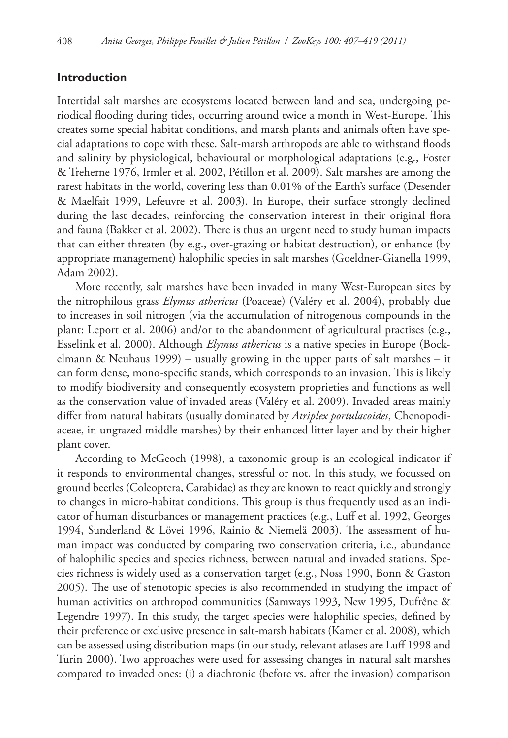# **Introduction**

Intertidal salt marshes are ecosystems located between land and sea, undergoing periodical flooding during tides, occurring around twice a month in West-Europe. This creates some special habitat conditions, and marsh plants and animals often have special adaptations to cope with these. Salt-marsh arthropods are able to withstand floods and salinity by physiological, behavioural or morphological adaptations (e.g., Foster & Treherne 1976, Irmler et al. 2002, Pétillon et al. 2009). Salt marshes are among the rarest habitats in the world, covering less than 0.01% of the Earth's surface (Desender & Maelfait 1999, Lefeuvre et al. 2003). In Europe, their surface strongly declined during the last decades, reinforcing the conservation interest in their original flora and fauna (Bakker et al. 2002). There is thus an urgent need to study human impacts that can either threaten (by e.g., over-grazing or habitat destruction), or enhance (by appropriate management) halophilic species in salt marshes (Goeldner-Gianella 1999, Adam 2002).

More recently, salt marshes have been invaded in many West-European sites by the nitrophilous grass *Elymus athericus* (Poaceae) (Valéry et al. 2004), probably due to increases in soil nitrogen (via the accumulation of nitrogenous compounds in the plant: Leport et al. 2006) and/or to the abandonment of agricultural practises (e.g., Esselink et al. 2000). Although *Elymus athericus* is a native species in Europe (Bockelmann & Neuhaus 1999) – usually growing in the upper parts of salt marshes – it can form dense, mono-specific stands, which corresponds to an invasion. This is likely to modify biodiversity and consequently ecosystem proprieties and functions as well as the conservation value of invaded areas (Valéry et al. 2009). Invaded areas mainly differ from natural habitats (usually dominated by *Atriplex portulacoides*, Chenopodiaceae, in ungrazed middle marshes) by their enhanced litter layer and by their higher plant cover.

According to McGeoch (1998), a taxonomic group is an ecological indicator if it responds to environmental changes, stressful or not. In this study, we focussed on ground beetles (Coleoptera, Carabidae) as they are known to react quickly and strongly to changes in micro-habitat conditions. This group is thus frequently used as an indicator of human disturbances or management practices (e.g., Luff et al. 1992, Georges 1994, Sunderland & Lövei 1996, Rainio & Niemelä 2003). The assessment of human impact was conducted by comparing two conservation criteria, i.e., abundance of halophilic species and species richness, between natural and invaded stations. Species richness is widely used as a conservation target (e.g., Noss 1990, Bonn & Gaston 2005). The use of stenotopic species is also recommended in studying the impact of human activities on arthropod communities (Samways 1993, New 1995, Dufrêne & Legendre 1997). In this study, the target species were halophilic species, defined by their preference or exclusive presence in salt-marsh habitats (Kamer et al. 2008), which can be assessed using distribution maps (in our study, relevant atlases are Luff 1998 and Turin 2000). Two approaches were used for assessing changes in natural salt marshes compared to invaded ones: (i) a diachronic (before vs. after the invasion) comparison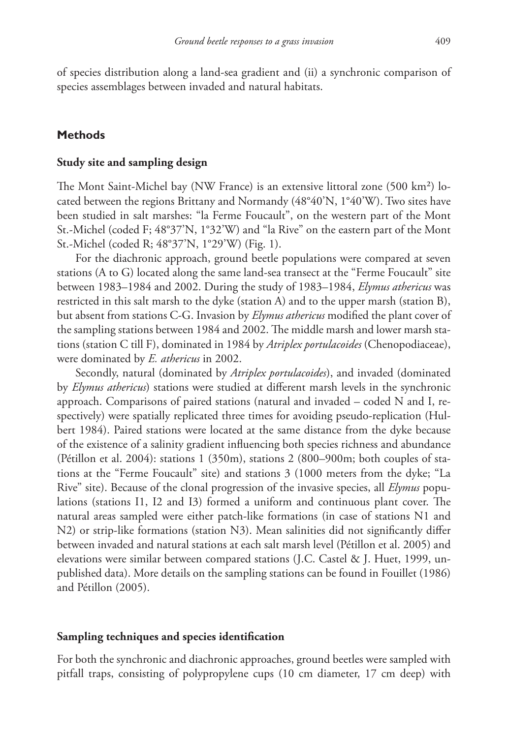of species distribution along a land-sea gradient and (ii) a synchronic comparison of species assemblages between invaded and natural habitats.

# **Methods**

#### **Study site and sampling design**

The Mont Saint-Michel bay (NW France) is an extensive littoral zone (500 km<sup>2</sup>) located between the regions Brittany and Normandy (48°40'N, 1°40'W). Two sites have been studied in salt marshes: "la Ferme Foucault", on the western part of the Mont St.-Michel (coded F; 48°37'N, 1°32'W) and "la Rive" on the eastern part of the Mont St.-Michel (coded R; 48°37'N, 1°29'W) (Fig. 1).

For the diachronic approach, ground beetle populations were compared at seven stations (A to G) located along the same land-sea transect at the "Ferme Foucault" site between 1983–1984 and 2002. During the study of 1983–1984, *Elymus athericus* was restricted in this salt marsh to the dyke (station A) and to the upper marsh (station B), but absent from stations C-G. Invasion by *Elymus athericus* modified the plant cover of the sampling stations between 1984 and 2002. The middle marsh and lower marsh stations (station C till F), dominated in 1984 by *Atriplex portulacoides* (Chenopodiaceae), were dominated by *E. athericus* in 2002.

Secondly, natural (dominated by *Atriplex portulacoides*), and invaded (dominated by *Elymus athericus*) stations were studied at different marsh levels in the synchronic approach. Comparisons of paired stations (natural and invaded – coded N and I, respectively) were spatially replicated three times for avoiding pseudo-replication (Hulbert 1984). Paired stations were located at the same distance from the dyke because of the existence of a salinity gradient influencing both species richness and abundance (Pétillon et al. 2004): stations 1 (350m), stations 2 (800–900m; both couples of stations at the "Ferme Foucault" site) and stations 3 (1000 meters from the dyke; "La Rive" site). Because of the clonal progression of the invasive species, all *Elymus* populations (stations I1, I2 and I3) formed a uniform and continuous plant cover. The natural areas sampled were either patch-like formations (in case of stations N1 and N2) or strip-like formations (station N3). Mean salinities did not significantly differ between invaded and natural stations at each salt marsh level (Pétillon et al. 2005) and elevations were similar between compared stations (J.C. Castel & J. Huet, 1999, unpublished data). More details on the sampling stations can be found in Fouillet (1986) and Pétillon (2005).

### **Sampling techniques and species identification**

For both the synchronic and diachronic approaches, ground beetles were sampled with pitfall traps, consisting of polypropylene cups (10 cm diameter, 17 cm deep) with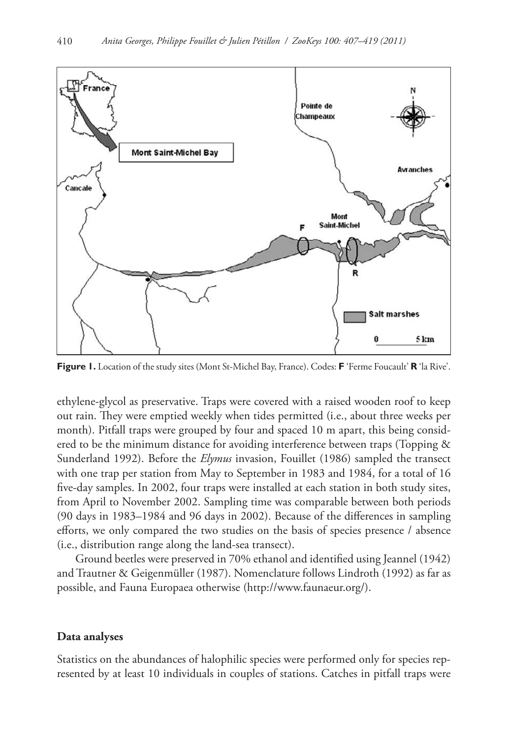

**Figure 1.** Location of the study sites (Mont St-Michel Bay, France). Codes: **F** 'Ferme Foucault' **R** 'la Rive'.

ethylene-glycol as preservative. Traps were covered with a raised wooden roof to keep out rain. They were emptied weekly when tides permitted (i.e., about three weeks per month). Pitfall traps were grouped by four and spaced 10 m apart, this being considered to be the minimum distance for avoiding interference between traps (Topping & Sunderland 1992). Before the *Elymus* invasion, Fouillet (1986) sampled the transect with one trap per station from May to September in 1983 and 1984, for a total of 16 five-day samples. In 2002, four traps were installed at each station in both study sites, from April to November 2002. Sampling time was comparable between both periods (90 days in 1983–1984 and 96 days in 2002). Because of the differences in sampling efforts, we only compared the two studies on the basis of species presence / absence (i.e., distribution range along the land-sea transect).

Ground beetles were preserved in 70% ethanol and identified using Jeannel (1942) and Trautner & Geigenmüller (1987). Nomenclature follows Lindroth (1992) as far as possible, and Fauna Europaea otherwise ([http://www.faunaeur.org/\)](http://www.faunaeur.org/).

#### **Data analyses**

Statistics on the abundances of halophilic species were performed only for species represented by at least 10 individuals in couples of stations. Catches in pitfall traps were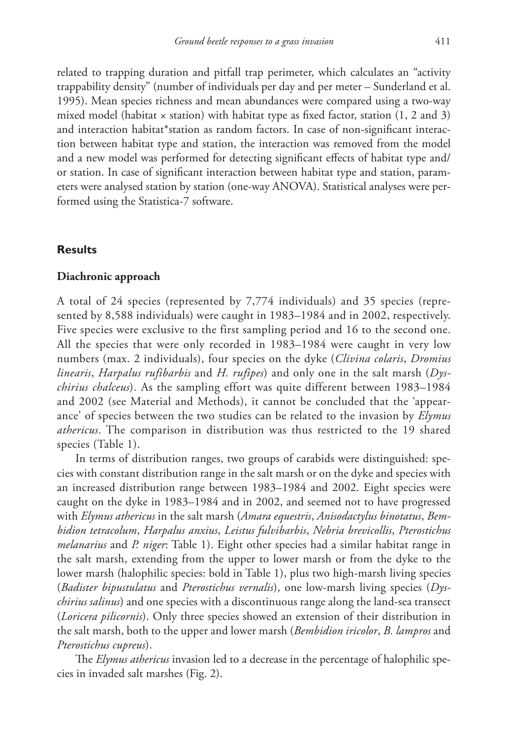related to trapping duration and pitfall trap perimeter, which calculates an "activity trappability density" (number of individuals per day and per meter – Sunderland et al. 1995). Mean species richness and mean abundances were compared using a two-way mixed model (habitat  $\times$  station) with habitat type as fixed factor, station (1, 2 and 3) and interaction habitat\*station as random factors. In case of non-significant interaction between habitat type and station, the interaction was removed from the model and a new model was performed for detecting significant effects of habitat type and/ or station. In case of significant interaction between habitat type and station, parameters were analysed station by station (one-way ANOVA). Statistical analyses were performed using the Statistica-7 software.

# **Results**

## **Diachronic approach**

A total of 24 species (represented by 7,774 individuals) and 35 species (represented by 8,588 individuals) were caught in 1983–1984 and in 2002, respectively. Five species were exclusive to the first sampling period and 16 to the second one. All the species that were only recorded in 1983–1984 were caught in very low numbers (max. 2 individuals), four species on the dyke (*Clivina colaris*, *Dromius linearis*, *Harpalus rufibarbis* and *H. rufipes*) and only one in the salt marsh (*Dyschirius chalceus*). As the sampling effort was quite different between 1983–1984 and 2002 (see Material and Methods), it cannot be concluded that the 'appearance' of species between the two studies can be related to the invasion by *Elymus athericus*. The comparison in distribution was thus restricted to the 19 shared species (Table 1).

In terms of distribution ranges, two groups of carabids were distinguished: species with constant distribution range in the salt marsh or on the dyke and species with an increased distribution range between 1983–1984 and 2002. Eight species were caught on the dyke in 1983–1984 and in 2002, and seemed not to have progressed with *Elymus athericus* in the salt marsh (*Amara equestris*, *Anisodactylus binotatus*, *Bembidion tetracolum*, *Harpalus anxius*, *Leistus fulvibarbis*, *Nebria brevicollis*, *Pterostichus melanarius* and *P. niger*: Table 1). Eight other species had a similar habitat range in the salt marsh, extending from the upper to lower marsh or from the dyke to the lower marsh (halophilic species: bold in Table 1), plus two high-marsh living species (*Badister bipustulatus* and *Pterostichus vernalis*), one low-marsh living species (*Dyschirius salinus*) and one species with a discontinuous range along the land-sea transect (*Loricera pilicornis*). Only three species showed an extension of their distribution in the salt marsh, both to the upper and lower marsh (*Bembidion iricolor*, *B. lampros* and *Pterostichus cupreus*).

The *Elymus athericus* invasion led to a decrease in the percentage of halophilic species in invaded salt marshes (Fig. 2).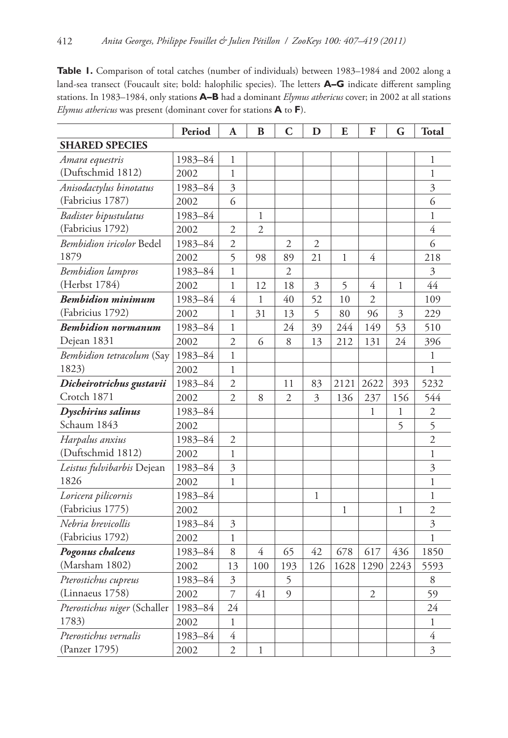Table 1. Comparison of total catches (number of individuals) between 1983–1984 and 2002 along a land-sea transect (Foucault site; bold: halophilic species). The letters **A–G** indicate different sampling stations. In 1983–1984, only stations **A–B** had a dominant *Elymus athericus* cover; in 2002 at all stations *Elymus athericus* was present (dominant cover for stations **A** to **F**).

|                                 | Period  | A              | B              | C              | D   | E    | F              | G                       | <b>Total</b>   |
|---------------------------------|---------|----------------|----------------|----------------|-----|------|----------------|-------------------------|----------------|
| <b>SHARED SPECIES</b>           |         |                |                |                |     |      |                |                         |                |
| Amara equestris                 | 1983-84 | 1              |                |                |     |      |                |                         | 1              |
| (Duftschmid 1812)               | 2002    | $\mathbf{1}$   |                |                |     |      |                |                         | $\mathbf{1}$   |
| Anisodactylus binotatus         | 1983-84 | $\overline{3}$ |                |                |     |      |                |                         | $\overline{3}$ |
| (Fabricius 1787)                | 2002    | 6              |                |                |     |      |                |                         | 6              |
| Badister bipustulatus           | 1983-84 |                | 1              |                |     |      |                |                         | $\mathbf{1}$   |
| (Fabricius 1792)                | 2002    | $\overline{2}$ | $\overline{2}$ |                |     |      |                |                         | $\overline{4}$ |
| <i>Bembidion iricolor</i> Bedel | 1983-84 | $\overline{2}$ |                | 2              | 2   |      |                |                         | 6              |
| 1879                            | 2002    | 5              | 98             | 89             | 21  | 1    | 4              |                         | 218            |
| <b>Bembidion</b> lampros        | 1983-84 | 1              |                | $\overline{2}$ |     |      |                |                         | 3              |
| (Herbst 1784)                   | 2002    | 1              | 12             | 18             | 3   | 5    | $\overline{4}$ | 1                       | 44             |
| <b>Bembidion minimum</b>        | 1983-84 | $\overline{4}$ | $\mathbf{1}$   | 40             | 52  | 10   | $\overline{2}$ |                         | 109            |
| (Fabricius 1792)                | 2002    | $\mathbf{1}$   | 31             | 13             | 5   | 80   | 96             | $\overline{\mathbf{3}}$ | 229            |
| <b>Bembidion normanum</b>       | 1983-84 | $\mathbf{1}$   |                | 24             | 39  | 244  | 149            | 53                      | 510            |
| Dejean 1831                     | 2002    | $\overline{2}$ | 6              | 8              | 13  | 212  | 131            | 24                      | 396            |
| Bembidion tetracolum (Say       | 1983-84 | $\mathbf{1}$   |                |                |     |      |                |                         | 1              |
| 1823)                           | 2002    | $\mathbf{1}$   |                |                |     |      |                |                         | $\mathbf{1}$   |
| Dicheirotrichus gustavii        | 1983-84 | $\overline{2}$ |                | 11             | 83  | 2121 | 2622           | 393                     | 5232           |
| Crotch 1871                     | 2002    | $\overline{2}$ | 8              | $\overline{2}$ | 3   | 136  | 237            | 156                     | 544            |
| Dyschirius salinus              | 1983-84 |                |                |                |     |      | 1              | $\mathbf{1}$            | $\mathfrak{2}$ |
| Schaum 1843                     | 2002    |                |                |                |     |      |                | 5                       | 5              |
| Harpalus anxius                 | 1983-84 | 2              |                |                |     |      |                |                         | $\overline{2}$ |
| (Duftschmid 1812)               | 2002    | 1              |                |                |     |      |                |                         | $\mathbf{1}$   |
| Leistus fulvibarbis Dejean      | 1983-84 | $\overline{3}$ |                |                |     |      |                |                         | $\mathfrak{Z}$ |
| 1826                            | 2002    | 1              |                |                |     |      |                |                         | $\mathbf{1}$   |
| Loricera pilicornis             | 1983-84 |                |                |                | 1   |      |                |                         | 1              |
| (Fabricius 1775)                | 2002    |                |                |                |     | 1    |                | 1                       | $\overline{2}$ |
| Nebria brevicollis              | 1983-84 | 3              |                |                |     |      |                |                         | $\mathfrak{Z}$ |
| (Fabricius 1792)                | 2002    | $\mathbf{1}$   |                |                |     |      |                |                         | $\mathbf 1$    |
| Pogonus chalceus                | 1983-84 | 8              | $\overline{4}$ | 65             | 42  | 678  | 617            | 436                     | 1850           |
| (Marsham 1802)                  | 2002    | 13             | 100            | 193            | 126 | 1628 | 1290           | 2243                    | 5593           |
| Pterostichus cupreus            | 1983-84 | $\overline{3}$ |                | 5              |     |      |                |                         | $\,8\,$        |
| (Linnaeus 1758)                 | 2002    | $\overline{7}$ | 41             | 9              |     |      | $\overline{2}$ |                         | 59             |
| Pterostichus niger (Schaller    | 1983-84 | 24             |                |                |     |      |                |                         | 24             |
| 1783)                           | 2002    | $\mathbf{1}$   |                |                |     |      |                |                         | 1              |
| Pterostichus vernalis           | 1983-84 | $\overline{4}$ |                |                |     |      |                |                         | $\overline{4}$ |
| (Panzer 1795)                   | 2002    | $\overline{2}$ | 1              |                |     |      |                |                         | $\overline{3}$ |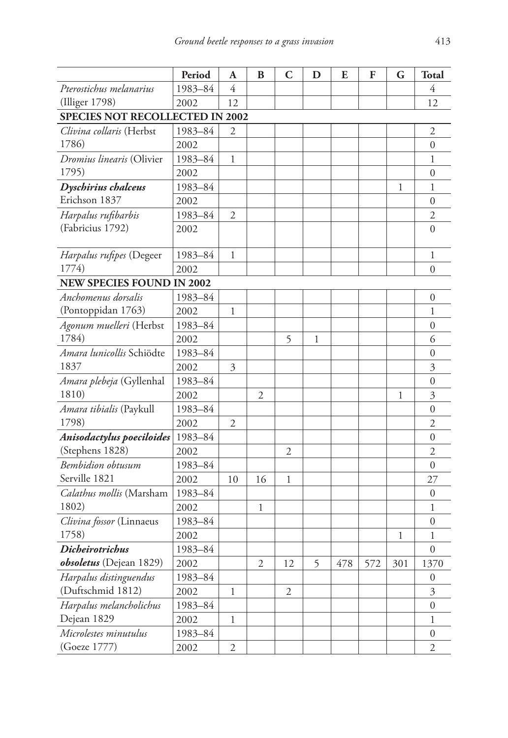|                                        | Period  | Α              | B            | C              | D | E   | F   | G            | <b>Total</b>     |  |
|----------------------------------------|---------|----------------|--------------|----------------|---|-----|-----|--------------|------------------|--|
| Pterostichus melanarius                | 1983-84 | 4              |              |                |   |     |     |              | 4                |  |
| (Illiger 1798)                         | 2002    | 12             |              |                |   |     |     |              | 12               |  |
| <b>SPECIES NOT RECOLLECTED IN 2002</b> |         |                |              |                |   |     |     |              |                  |  |
| Clivina collaris (Herbst               | 1983-84 | 2              |              |                |   |     |     |              | 2                |  |
| 1786)                                  | 2002    |                |              |                |   |     |     |              | $\overline{0}$   |  |
| Dromius linearis (Olivier              | 1983-84 | 1              |              |                |   |     |     |              | 1                |  |
| 1795)                                  | 2002    |                |              |                |   |     |     |              | $\overline{0}$   |  |
| Dyschirius chalceus                    | 1983-84 |                |              |                |   |     |     | $\mathbf{1}$ | 1                |  |
| Erichson 1837                          | 2002    |                |              |                |   |     |     |              | $\overline{0}$   |  |
| Harpalus rufibarbis                    | 1983-84 | $\mathfrak{2}$ |              |                |   |     |     |              | $\overline{2}$   |  |
| (Fabricius 1792)                       | 2002    |                |              |                |   |     |     |              | $\overline{0}$   |  |
| <i>Harpalus rufipes</i> (Degeer        | 1983-84 | 1              |              |                |   |     |     |              | 1                |  |
| 1774)                                  | 2002    |                |              |                |   |     |     |              | 0                |  |
| <b>NEW SPECIES FOUND IN 2002</b>       |         |                |              |                |   |     |     |              |                  |  |
| Anchomenus dorsalis                    | 1983-84 |                |              |                |   |     |     |              | 0                |  |
| (Pontoppidan 1763)                     | 2002    | 1              |              |                |   |     |     |              | 1                |  |
| Agonum muelleri (Herbst                | 1983-84 |                |              |                |   |     |     |              | $\overline{0}$   |  |
| 1784)                                  | 2002    |                |              | 5              | 1 |     |     |              | 6                |  |
| Amara lunicollis Schiödte              | 1983-84 |                |              |                |   |     |     |              | 0                |  |
| 1837                                   | 2002    | 3              |              |                |   |     |     |              | 3                |  |
| Amara plebeja (Gyllenhal               | 1983-84 |                |              |                |   |     |     |              | $\overline{0}$   |  |
| 1810)                                  | 2002    |                | 2            |                |   |     |     | $\mathbf{1}$ | 3                |  |
| Amara tibialis (Paykull                | 1983-84 |                |              |                |   |     |     |              | $\overline{0}$   |  |
| 1798)                                  | 2002    | $\overline{2}$ |              |                |   |     |     |              | $\overline{2}$   |  |
| Anisodactylus poeciloides              | 1983-84 |                |              |                |   |     |     |              | $\overline{0}$   |  |
| (Stephens 1828)                        | 2002    |                |              | 2              |   |     |     |              | 2                |  |
| <b>Bembidion</b> obtusum               | 1983-84 |                |              |                |   |     |     |              | 0                |  |
| Serville 1821                          | 2002    | 10             | 16           | $\mathbf{1}$   |   |     |     |              | 27               |  |
| Calathus mollis (Marsham               | 1983-84 |                |              |                |   |     |     |              | 0                |  |
| 1802)                                  | 2002    |                | $\mathbf{1}$ |                |   |     |     |              | 1                |  |
| Clivina fossor (Linnaeus               | 1983-84 |                |              |                |   |     |     |              | $\overline{0}$   |  |
| 1758)                                  | 2002    |                |              |                |   |     |     | 1            | 1                |  |
| <b>Dicheirotrichus</b>                 | 1983-84 |                |              |                |   |     |     |              | 0                |  |
| obsoletus (Dejean 1829)                | 2002    |                | 2            | 12             | 5 | 478 | 572 | 301          | 1370             |  |
| Harpalus distinguendus                 | 1983-84 |                |              |                |   |     |     |              | $\boldsymbol{0}$ |  |
| (Duftschmid 1812)                      | 2002    | $\mathbf{1}$   |              | $\mathfrak{2}$ |   |     |     |              | 3                |  |
| Harpalus melancholichus                | 1983-84 |                |              |                |   |     |     |              | $\overline{0}$   |  |
| Dejean 1829                            | 2002    | $\mathbf{1}$   |              |                |   |     |     |              | 1                |  |
| Microlestes minutulus                  | 1983-84 |                |              |                |   |     |     |              | 0                |  |
| (Goeze 1777)                           | 2002    | 2              |              |                |   |     |     |              | 2                |  |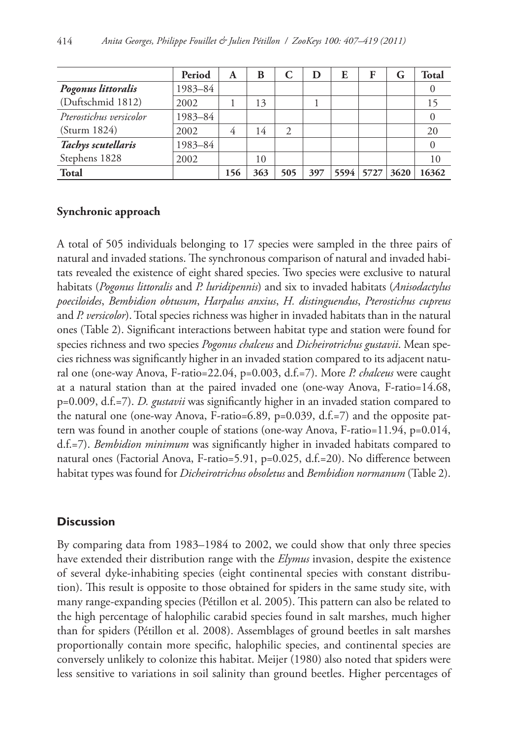|                         | Period  | A   | B   | C   | Ð   | E    | F    | G    | <b>Total</b> |
|-------------------------|---------|-----|-----|-----|-----|------|------|------|--------------|
| Pogonus littoralis      | 1983-84 |     |     |     |     |      |      |      |              |
| (Duftschmid 1812)       | 2002    |     | 13  |     |     |      |      |      |              |
| Pterostichus versicolor | 1983-84 |     |     |     |     |      |      |      |              |
| (Sturm 1824)            | 2002    | 4   | 14  | 2   |     |      |      |      | 20           |
| Tachys scutellaris      | 1983-84 |     |     |     |     |      |      |      |              |
| Stephens 1828           | 2002    |     | 10  |     |     |      |      |      | 10           |
| <b>Total</b>            |         | 156 | 363 | 505 | 397 | 5594 | 5727 | 3620 | 16362        |

# **Synchronic approach**

A total of 505 individuals belonging to 17 species were sampled in the three pairs of natural and invaded stations. The synchronous comparison of natural and invaded habitats revealed the existence of eight shared species. Two species were exclusive to natural habitats (*Pogonus littoralis* and *P. luridipennis*) and six to invaded habitats (*Anisodactylus poeciloides*, *Bembidion obtusum*, *Harpalus anxius*, *H. distinguendus*, *Pterostichus cupreus* and *P. versicolor*). Total species richness was higher in invaded habitats than in the natural ones (Table 2). Significant interactions between habitat type and station were found for species richness and two species *Pogonus chalceus* and *Dicheirotrichus gustavii*. Mean species richness was significantly higher in an invaded station compared to its adjacent natural one (one-way Anova, F-ratio=22.04, p=0.003, d.f.=7). More *P. chalceus* were caught at a natural station than at the paired invaded one (one-way Anova, F-ratio=14.68, p=0.009, d.f.=7). *D. gustavii* was significantly higher in an invaded station compared to the natural one (one-way Anova, F-ratio=6.89, p=0.039, d.f.=7) and the opposite pattern was found in another couple of stations (one-way Anova, F-ratio=11.94, p=0.014, d.f.=7). *Bembidion minimum* was significantly higher in invaded habitats compared to natural ones (Factorial Anova, F-ratio=5.91, p=0.025, d.f.=20). No difference between habitat types was found for *Dicheirotrichus obsoletus* and *Bembidion normanum* (Table 2).

# **Discussion**

By comparing data from 1983–1984 to 2002, we could show that only three species have extended their distribution range with the *Elymus* invasion, despite the existence of several dyke-inhabiting species (eight continental species with constant distribution). This result is opposite to those obtained for spiders in the same study site, with many range-expanding species (Pétillon et al. 2005). This pattern can also be related to the high percentage of halophilic carabid species found in salt marshes, much higher than for spiders (Pétillon et al. 2008). Assemblages of ground beetles in salt marshes proportionally contain more specific, halophilic species, and continental species are conversely unlikely to colonize this habitat. Meijer (1980) also noted that spiders were less sensitive to variations in soil salinity than ground beetles. Higher percentages of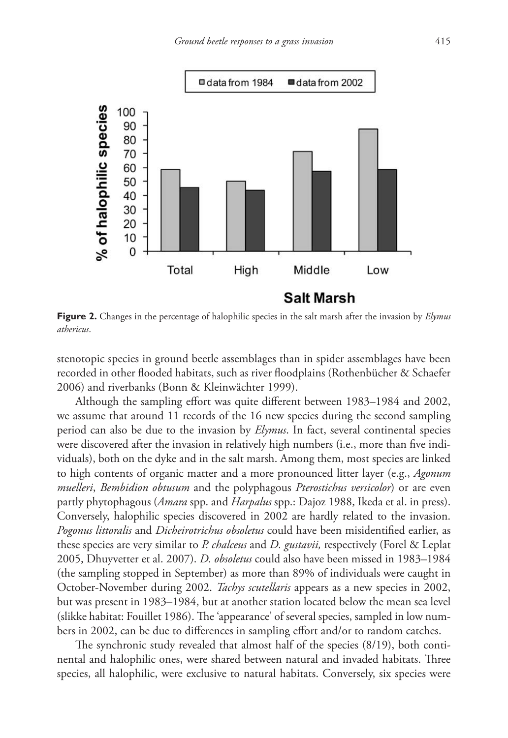

**Figure 2.** Changes in the percentage of halophilic species in the salt marsh after the invasion by *Elymus athericus*.

stenotopic species in ground beetle assemblages than in spider assemblages have been recorded in other flooded habitats, such as river floodplains (Rothenbücher & Schaefer 2006) and riverbanks (Bonn & Kleinwächter 1999).

Although the sampling effort was quite different between 1983–1984 and 2002, we assume that around 11 records of the 16 new species during the second sampling period can also be due to the invasion by *Elymus*. In fact, several continental species were discovered after the invasion in relatively high numbers (i.e., more than five individuals), both on the dyke and in the salt marsh. Among them, most species are linked to high contents of organic matter and a more pronounced litter layer (e.g., *Agonum muelleri*, *Bembidion obtusum* and the polyphagous *Pterostichus versicolor*) or are even partly phytophagous (*Amara* spp. and *Harpalus* spp.: Dajoz 1988, Ikeda et al. in press). Conversely, halophilic species discovered in 2002 are hardly related to the invasion. *Pogonus littoralis* and *Dicheirotrichus obsoletus* could have been misidentified earlier, as these species are very similar to *P. chalceus* and *D. gustavii,* respectively (Forel & Leplat 2005, Dhuyvetter et al. 2007). *D. obsoletus* could also have been missed in 1983–1984 (the sampling stopped in September) as more than 89% of individuals were caught in October-November during 2002. *Tachys scutellaris* appears as a new species in 2002, but was present in 1983–1984, but at another station located below the mean sea level (slikke habitat: Fouillet 1986). The 'appearance' of several species, sampled in low numbers in 2002, can be due to differences in sampling effort and/or to random catches.

The synchronic study revealed that almost half of the species (8/19), both continental and halophilic ones, were shared between natural and invaded habitats. Three species, all halophilic, were exclusive to natural habitats. Conversely, six species were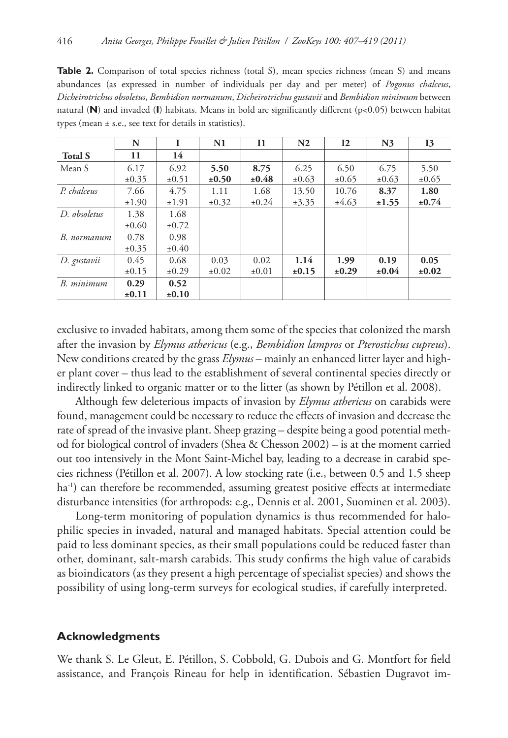**Table 2.** Comparison of total species richness (total S), mean species richness (mean S) and means abundances (as expressed in number of individuals per day and per meter) of *Pogonus chalceus*, *Dicheirotrichus obsoletus*, *Bembidion normanum*, *Dicheirotrichus gustavii* and *Bembidion minimum* between natural (**N**) and invaded (**I**) habitats. Means in bold are significantly different (p<0.05) between habitat types (mean ± s.e., see text for details in statistics).

|                | N          |            | N1         | <b>I1</b>  | N <sub>2</sub> | 12         | N <sub>3</sub> | <b>I3</b>  |
|----------------|------------|------------|------------|------------|----------------|------------|----------------|------------|
| <b>Total S</b> | 11         | 14         |            |            |                |            |                |            |
| Mean S         | 6.17       | 6.92       | 5.50       | 8.75       | 6.25           | 6.50       | 6.75           | 5.50       |
|                | ±0.35      | ±0.51      | $\pm 0.50$ | $\pm 0.48$ | ±0.63          | ±0.65      | ±0.63          | ±0.65      |
| P. chalceus    | 7.66       | 4.75       | 1.11       | 1.68       | 13.50          | 10.76      | 8.37           | 1.80       |
|                | ±1.90      | ±1.91      | ±0.32      | $\pm 0.24$ | ±3.35          | ±4.63      | ±1.55          | $\pm 0.74$ |
| D. obsoletus   | 1.38       | 1.68       |            |            |                |            |                |            |
|                | $\pm 0.60$ | $\pm 0.72$ |            |            |                |            |                |            |
| B. normanum    | 0.78       | 0.98       |            |            |                |            |                |            |
|                | ±0.35      | $\pm 0.40$ |            |            |                |            |                |            |
| D. gustavii    | 0.45       | 0.68       | 0.03       | 0.02       | 1.14           | 1.99       | 0.19           | 0.05       |
|                | ±0.15      | $\pm 0.29$ | $\pm 0.02$ | $\pm 0.01$ | ±0.15          | $\pm 0.29$ | $\pm 0.04$     | ±0.02      |
| B. minimum     | 0.29       | 0.52       |            |            |                |            |                |            |
|                | ±0.11      | $\pm 0.10$ |            |            |                |            |                |            |

exclusive to invaded habitats, among them some of the species that colonized the marsh after the invasion by *Elymus athericus* (e.g., *Bembidion lampros* or *Pterostichus cupreus*). New conditions created by the grass *Elymus* – mainly an enhanced litter layer and higher plant cover – thus lead to the establishment of several continental species directly or indirectly linked to organic matter or to the litter (as shown by Pétillon et al. 2008).

Although few deleterious impacts of invasion by *Elymus athericus* on carabids were found, management could be necessary to reduce the effects of invasion and decrease the rate of spread of the invasive plant. Sheep grazing – despite being a good potential method for biological control of invaders (Shea & Chesson 2002) – is at the moment carried out too intensively in the Mont Saint-Michel bay, leading to a decrease in carabid species richness (Pétillon et al. 2007). A low stocking rate (i.e., between 0.5 and 1.5 sheep ha<sup>-1</sup>) can therefore be recommended, assuming greatest positive effects at intermediate disturbance intensities (for arthropods: e.g., Dennis et al. 2001, Suominen et al. 2003).

Long-term monitoring of population dynamics is thus recommended for halophilic species in invaded, natural and managed habitats. Special attention could be paid to less dominant species, as their small populations could be reduced faster than other, dominant, salt-marsh carabids. This study confirms the high value of carabids as bioindicators (as they present a high percentage of specialist species) and shows the possibility of using long-term surveys for ecological studies, if carefully interpreted.

## **Acknowledgments**

We thank S. Le Gleut, E. Pétillon, S. Cobbold, G. Dubois and G. Montfort for field assistance, and François Rineau for help in identification. Sébastien Dugravot im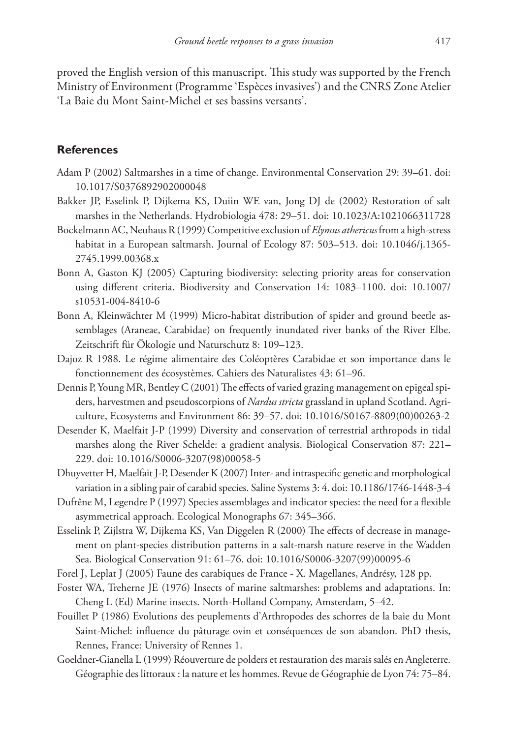proved the English version of this manuscript. This study was supported by the French Ministry of Environment (Programme 'Espèces invasives') and the CNRS Zone Atelier 'La Baie du Mont Saint-Michel et ses bassins versants'.

# **References**

- Adam P (2002) Saltmarshes in a time of change. Environmental Conservation 29: 39–61. doi: [10.1017/S0376892902000048](http://dx.doi.org/10.1017/S0376892902000048)
- Bakker JP, Esselink P, Dijkema KS, Duiin WE van, Jong DJ de (2002) Restoration of salt marshes in the Netherlands. Hydrobiologia 478: 29–51. doi: [10.1023/A:1021066311728](http://dx.doi.org/10.1023/A:1021066311728)
- Bockelmann AC, Neuhaus R (1999) Competitive exclusion of *Elymus athericus* from a high-stress [habitat in a European saltmarsh. Journal of Ecology 87: 503–513. doi: 10.1046/j.1365-](http://dx.doi.org/10.1046/j.1365-2745.1999.00368.x) 2745.1999.00368.x
- Bonn A, Gaston KJ (2005) Capturing biodiversity: selecting priority areas for conservation [using different criteria. Biodiversity and Conservation 14: 1083–1100. doi: 10.1007/](http://dx.doi.org/10.1007/s10531-004-8410-6) s10531-004-8410-6
- Bonn A, Kleinwächter M (1999) Micro-habitat distribution of spider and ground beetle assemblages (Araneae, Carabidae) on frequently inundated river banks of the River Elbe. Zeitschrift für Ökologie und Naturschutz 8: 109–123.
- Dajoz R 1988. Le régime alimentaire des Coléoptères Carabidae et son importance dans le fonctionnement des écosystèmes. Cahiers des Naturalistes 43: 61–96.
- Dennis P, Young MR, Bentley C (2001) The effects of varied grazing management on epigeal spiders, harvestmen and pseudoscorpions of *Nardus stricta* grassland in upland Scotland. Agriculture, Ecosystems and Environment 86: 39–57. doi: [10.1016/S0167-8809\(00\)00263-2](http://dx.doi.org/10.1016/S0167-8809(00)00263-2)
- Desender K, Maelfait J-P (1999) Diversity and conservation of terrestrial arthropods in tidal marshes along the River Schelde: a gradient analysis. Biological Conservation 87: 221– 229. doi: [10.1016/S0006-3207\(98\)00058-5](http://dx.doi.org/10.1016/S0006-3207(98)00058-5)
- Dhuyvetter H, Maelfait J-P, Desender K (2007) Inter- and intraspecific genetic and morphological variation in a sibling pair of carabid species. Saline Systems 3: 4. doi: [10.1186/1746-1448-3-4](http://dx.doi.org/10.1186/1746-1448-3-4)
- Dufrêne M, Legendre P (1997) Species assemblages and indicator species: the need for a flexible asymmetrical approach. Ecological Monographs 67: 345–366.
- Esselink P, Zijlstra W, Dijkema KS, Van Diggelen R (2000) The effects of decrease in management on plant-species distribution patterns in a salt-marsh nature reserve in the Wadden Sea. Biological Conservation 91: 61–76. doi: [10.1016/S0006-3207\(99\)00095-6](http://dx.doi.org/10.1016/S0006-3207(99)00095-6)
- Forel J, Leplat J (2005) Faune des carabiques de France X. Magellanes, Andrésy, 128 pp.
- Foster WA, Treherne JE (1976) Insects of marine saltmarshes: problems and adaptations. In: Cheng L (Ed) Marine insects. North-Holland Company, Amsterdam, 5–42.
- Fouillet P (1986) Evolutions des peuplements d'Arthropodes des schorres de la baie du Mont Saint-Michel: influence du pâturage ovin et conséquences de son abandon. PhD thesis, Rennes, France: University of Rennes 1.
- Goeldner-Gianella L (1999) Réouverture de polders et restauration des marais salés en Angleterre. Géographie des littoraux : la nature et les hommes. Revue de Géographie de Lyon 74: 75–84.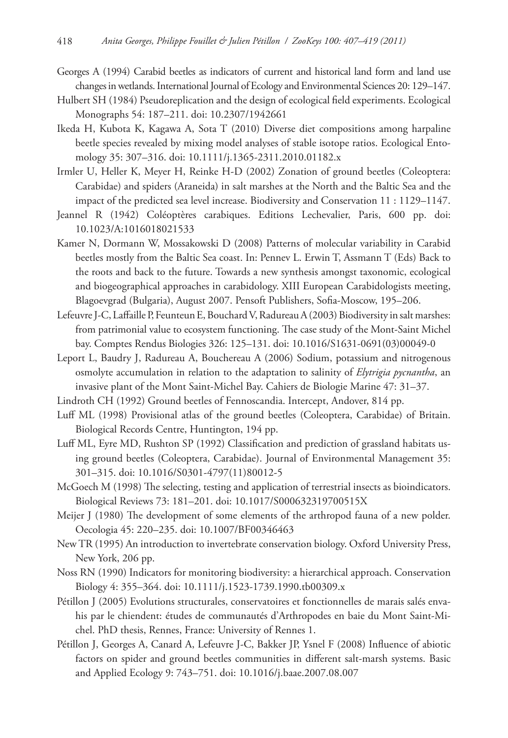- Georges A (1994) Carabid beetles as indicators of current and historical land form and land use changes in wetlands. International Journal of Ecology and Environmental Sciences 20: 129–147.
- Hulbert SH (1984) Pseudoreplication and the design of ecological field experiments. Ecological Monographs 54: 187–211. doi: [10.2307/1942661](http://dx.doi.org/10.2307/1942661)
- Ikeda H, Kubota K, Kagawa A, Sota T (2010) Diverse diet compositions among harpaline beetle species revealed by mixing model analyses of stable isotope ratios. Ecological Entomology 35: 307–316. doi: [10.1111/j.1365-2311.2010.01182.x](http://dx.doi.org/10.1111/j.1365-2311.2010.01182.x)
- Irmler U, Heller K, Meyer H, Reinke H-D (2002) Zonation of ground beetles (Coleoptera: Carabidae) and spiders (Araneida) in salt marshes at the North and the Baltic Sea and the impact of the predicted sea level increase. Biodiversity and Conservation 11 : 1129–1147.
- Jeannel R (1942) Coléoptères carabiques. Editions Lechevalier, Paris, 600 pp. doi: [10.1023/A:1016018021533](http://dx.doi.org/10.1023/A:1016018021533)
- Kamer N, Dormann W, Mossakowski D (2008) Patterns of molecular variability in Carabid beetles mostly from the Baltic Sea coast. In: Pennev L. Erwin T, Assmann T (Eds) Back to the roots and back to the future. Towards a new synthesis amongst taxonomic, ecological and biogeographical approaches in carabidology. XIII European Carabidologists meeting, Blagoevgrad (Bulgaria), August 2007. Pensoft Publishers, Sofia-Moscow, 195–206.
- Lefeuvre J-C, Laffaille P, Feunteun E, Bouchard V, Radureau A (2003) Biodiversity in salt marshes: from patrimonial value to ecosystem functioning. The case study of the Mont-Saint Michel bay. Comptes Rendus Biologies 326: 125–131. doi: [10.1016/S1631-0691\(03\)00049-0](http://dx.doi.org/10.1016/S1631-0691(03)00049-0)
- Leport L, Baudry J, Radureau A, Bouchereau A (2006) Sodium, potassium and nitrogenous osmolyte accumulation in relation to the adaptation to salinity of *Elytrigia pycnantha*, an invasive plant of the Mont Saint-Michel Bay. Cahiers de Biologie Marine 47: 31–37.
- Lindroth CH (1992) Ground beetles of Fennoscandia. Intercept, Andover, 814 pp.
- Luff ML (1998) Provisional atlas of the ground beetles (Coleoptera, Carabidae) of Britain. Biological Records Centre, Huntington, 194 pp.
- Luff ML, Eyre MD, Rushton SP (1992) Classification and prediction of grassland habitats using ground beetles (Coleoptera, Carabidae). Journal of Environmental Management 35: 301–315. doi: [10.1016/S0301-4797\(11\)80012-5](http://dx.doi.org/10.1016/S0301-4797(11)80012-5)
- McGoech M (1998) The selecting, testing and application of terrestrial insects as bioindicators. Biological Reviews 73: 181–201. doi: [10.1017/S000632319700515X](http://dx.doi.org/10.1017/S000632319700515X)
- Meijer J (1980) The development of some elements of the arthropod fauna of a new polder. Oecologia 45: 220–235. doi: [10.1007/BF00346463](http://dx.doi.org/10.1007/BF00346463)
- New TR (1995) An introduction to invertebrate conservation biology. Oxford University Press, New York, 206 pp.
- Noss RN (1990) Indicators for monitoring biodiversity: a hierarchical approach. Conservation Biology 4: 355–364. doi: [10.1111/j.1523-1739.1990.tb00309.x](http://dx.doi.org/10.1111/j.1523-1739.1990.tb00309.x)
- Pétillon J (2005) Evolutions structurales, conservatoires et fonctionnelles de marais salés envahis par le chiendent: études de communautés d'Arthropodes en baie du Mont Saint-Michel. PhD thesis, Rennes, France: University of Rennes 1.
- Pétillon J, Georges A, Canard A, Lefeuvre J-C, Bakker JP, Ysnel F (2008) Influence of abiotic factors on spider and ground beetles communities in different salt-marsh systems. Basic and Applied Ecology 9: 743–751. doi: [10.1016/j.baae.2007.08.007](http://dx.doi.org/10.1016/j.baae.2007.08.007)